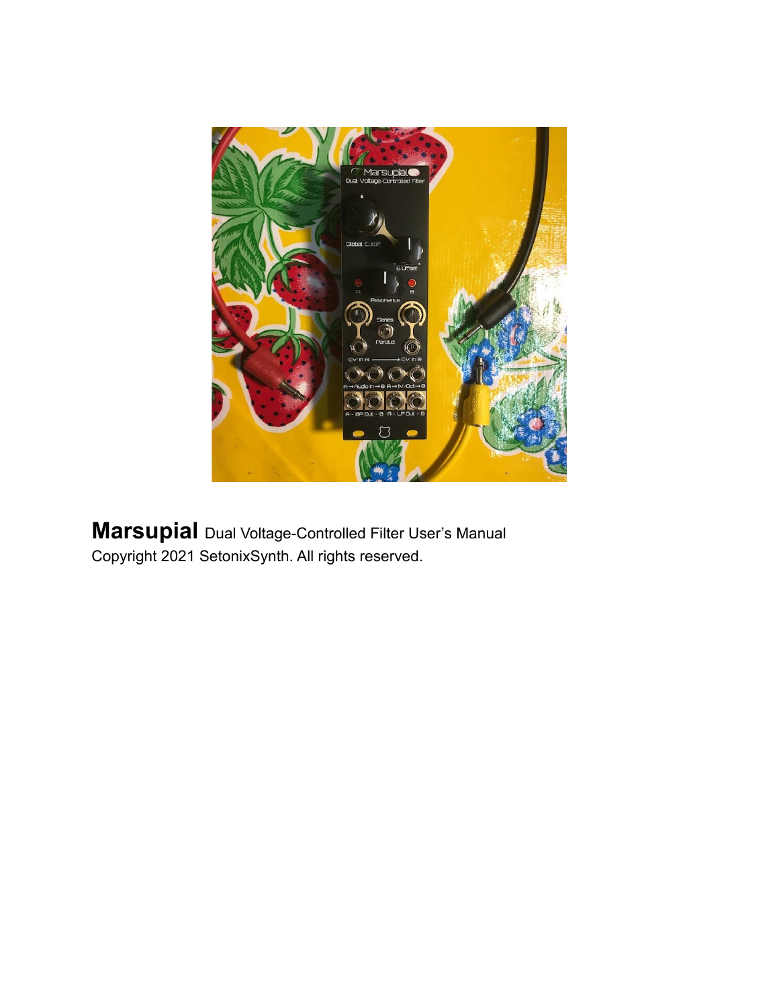

**Marsupial** Dual Voltage-Controlled Filter User's Manual Copyright 2021 SetonixSynth. All rights reserved.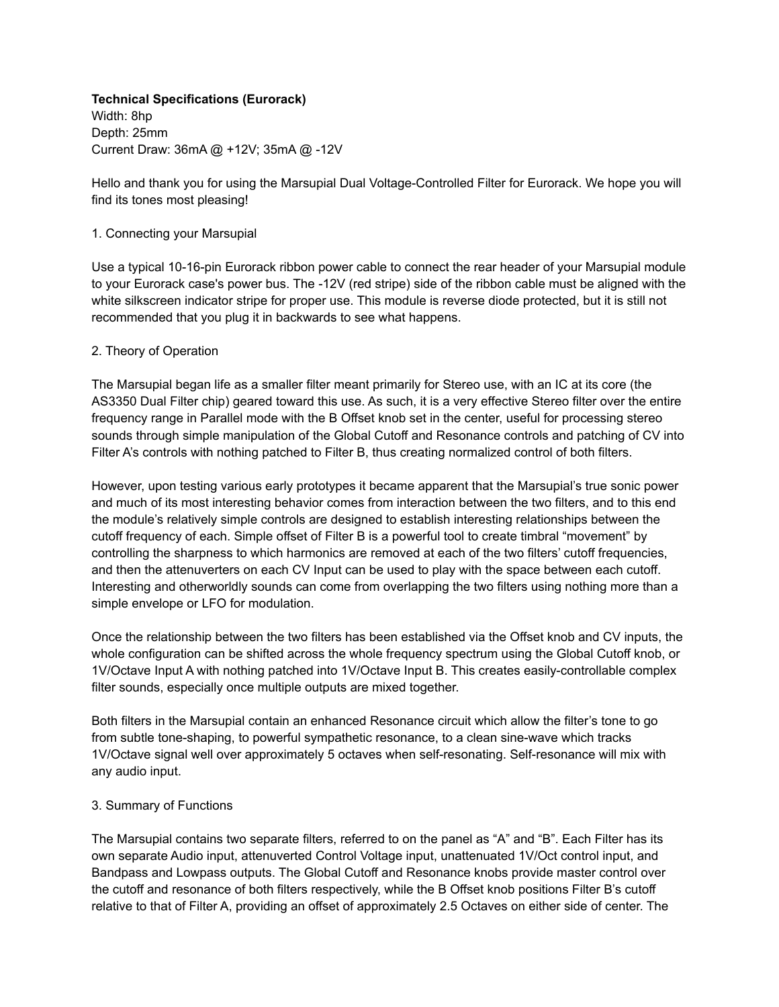## **Technical Specifications (Eurorack)**

Width: 8hp Depth: 25mm Current Draw: 36mA @ +12V; 35mA @ -12V

Hello and thank you for using the Marsupial Dual Voltage-Controlled Filter for Eurorack. We hope you will find its tones most pleasing!

## 1. Connecting your Marsupial

Use a typical 10-16-pin Eurorack ribbon power cable to connect the rear header of your Marsupial module to your Eurorack case's power bus. The -12V (red stripe) side of the ribbon cable must be aligned with the white silkscreen indicator stripe for proper use. This module is reverse diode protected, but it is still not recommended that you plug it in backwards to see what happens.

## 2. Theory of Operation

The Marsupial began life as a smaller filter meant primarily for Stereo use, with an IC at its core (the AS3350 Dual Filter chip) geared toward this use. As such, it is a very effective Stereo filter over the entire frequency range in Parallel mode with the B Offset knob set in the center, useful for processing stereo sounds through simple manipulation of the Global Cutoff and Resonance controls and patching of CV into Filter A's controls with nothing patched to Filter B, thus creating normalized control of both filters.

However, upon testing various early prototypes it became apparent that the Marsupial's true sonic power and much of its most interesting behavior comes from interaction between the two filters, and to this end the module's relatively simple controls are designed to establish interesting relationships between the cutoff frequency of each. Simple offset of Filter B is a powerful tool to create timbral "movement" by controlling the sharpness to which harmonics are removed at each of the two filters' cutoff frequencies, and then the attenuverters on each CV Input can be used to play with the space between each cutoff. Interesting and otherworldly sounds can come from overlapping the two filters using nothing more than a simple envelope or LFO for modulation.

Once the relationship between the two filters has been established via the Offset knob and CV inputs, the whole configuration can be shifted across the whole frequency spectrum using the Global Cutoff knob, or 1V/Octave Input A with nothing patched into 1V/Octave Input B. This creates easily-controllable complex filter sounds, especially once multiple outputs are mixed together.

Both filters in the Marsupial contain an enhanced Resonance circuit which allow the filter's tone to go from subtle tone-shaping, to powerful sympathetic resonance, to a clean sine-wave which tracks 1V/Octave signal well over approximately 5 octaves when self-resonating. Self-resonance will mix with any audio input.

# 3. Summary of Functions

The Marsupial contains two separate filters, referred to on the panel as "A" and "B". Each Filter has its own separate Audio input, attenuverted Control Voltage input, unattenuated 1V/Oct control input, and Bandpass and Lowpass outputs. The Global Cutoff and Resonance knobs provide master control over the cutoff and resonance of both filters respectively, while the B Offset knob positions Filter B's cutoff relative to that of Filter A, providing an offset of approximately 2.5 Octaves on either side of center. The